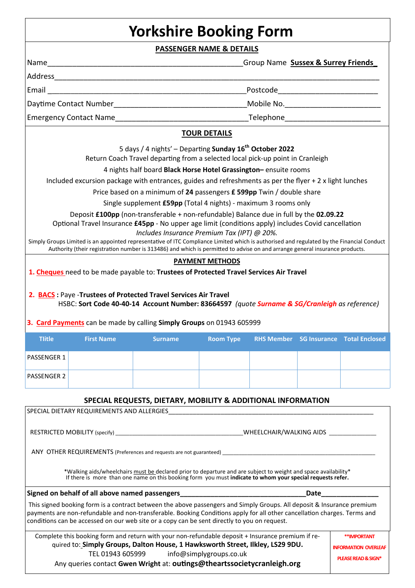## **Yorkshire Booking Form**

**PASSENGER NAME & DETAILS** 

|                                                                                                                                                                                     |                   |                                                                                                                                                                                                                                                                                                                                                    | <u>I ASSENGEN NAIVIE &amp; BETAILS</u> | Group Name Sussex & Surrey Friends |  |                                        |
|-------------------------------------------------------------------------------------------------------------------------------------------------------------------------------------|-------------------|----------------------------------------------------------------------------------------------------------------------------------------------------------------------------------------------------------------------------------------------------------------------------------------------------------------------------------------------------|----------------------------------------|------------------------------------|--|----------------------------------------|
|                                                                                                                                                                                     |                   |                                                                                                                                                                                                                                                                                                                                                    |                                        |                                    |  |                                        |
|                                                                                                                                                                                     |                   |                                                                                                                                                                                                                                                                                                                                                    |                                        |                                    |  |                                        |
|                                                                                                                                                                                     |                   |                                                                                                                                                                                                                                                                                                                                                    |                                        |                                    |  |                                        |
|                                                                                                                                                                                     |                   |                                                                                                                                                                                                                                                                                                                                                    |                                        |                                    |  |                                        |
|                                                                                                                                                                                     |                   |                                                                                                                                                                                                                                                                                                                                                    | <b>TOUR DETAILS</b>                    |                                    |  |                                        |
|                                                                                                                                                                                     |                   |                                                                                                                                                                                                                                                                                                                                                    |                                        |                                    |  |                                        |
| 5 days / 4 nights' - Departing Sunday 16 <sup>th</sup> October 2022<br>Return Coach Travel departing from a selected local pick-up point in Cranleigh                               |                   |                                                                                                                                                                                                                                                                                                                                                    |                                        |                                    |  |                                        |
|                                                                                                                                                                                     |                   | 4 nights half board Black Horse Hotel Grassington-ensuite rooms                                                                                                                                                                                                                                                                                    |                                        |                                    |  |                                        |
|                                                                                                                                                                                     |                   | Included excursion package with entrances, guides and refreshments as per the flyer $+2x$ light lunches                                                                                                                                                                                                                                            |                                        |                                    |  |                                        |
|                                                                                                                                                                                     |                   | Price based on a minimum of 24 passengers £ 599pp Twin / double share                                                                                                                                                                                                                                                                              |                                        |                                    |  |                                        |
|                                                                                                                                                                                     |                   | Single supplement £59pp (Total 4 nights) - maximum 3 rooms only                                                                                                                                                                                                                                                                                    |                                        |                                    |  |                                        |
|                                                                                                                                                                                     |                   | Deposit £100pp (non-transferable + non-refundable) Balance due in full by the 02.09.22                                                                                                                                                                                                                                                             |                                        |                                    |  |                                        |
|                                                                                                                                                                                     |                   | Optional Travel Insurance £45pp - No upper age limit (conditions apply) includes Covid cancellation                                                                                                                                                                                                                                                |                                        |                                    |  |                                        |
|                                                                                                                                                                                     |                   | Includes Insurance Premium Tax (IPT) @ 20%.<br>Simply Groups Limited is an appointed representative of ITC Compliance Limited which is authorised and regulated by the Financial Conduct                                                                                                                                                           |                                        |                                    |  |                                        |
|                                                                                                                                                                                     |                   | Authority (their registration number is 313486) and which is permitted to advise on and arrange general insurance products.                                                                                                                                                                                                                        |                                        |                                    |  |                                        |
|                                                                                                                                                                                     |                   |                                                                                                                                                                                                                                                                                                                                                    | <b>PAYMENT METHODS</b>                 |                                    |  |                                        |
|                                                                                                                                                                                     |                   | 1. Cheques need to be made payable to: Trustees of Protected Travel Services Air Travel                                                                                                                                                                                                                                                            |                                        |                                    |  |                                        |
|                                                                                                                                                                                     |                   | HSBC: Sort Code 40-40-14 Account Number: 83664597 (quote Surname & SG/Cranleigh as reference)<br>3. Card Payments can be made by calling Simply Groups on 01943 605999                                                                                                                                                                             |                                        |                                    |  |                                        |
| <b>Tlitle</b>                                                                                                                                                                       | <b>First Name</b> | <b>Surname</b>                                                                                                                                                                                                                                                                                                                                     | <b>Room Type</b>                       |                                    |  | RHS Member SG Insurance Total Enclosed |
| PASSENGER 1                                                                                                                                                                         |                   |                                                                                                                                                                                                                                                                                                                                                    |                                        |                                    |  |                                        |
| <b>PASSENGER 2</b>                                                                                                                                                                  |                   |                                                                                                                                                                                                                                                                                                                                                    |                                        |                                    |  |                                        |
|                                                                                                                                                                                     |                   | SPECIAL REQUESTS, DIETARY, MOBILITY & ADDITIONAL INFORMATION                                                                                                                                                                                                                                                                                       |                                        |                                    |  |                                        |
|                                                                                                                                                                                     |                   |                                                                                                                                                                                                                                                                                                                                                    |                                        |                                    |  |                                        |
|                                                                                                                                                                                     |                   |                                                                                                                                                                                                                                                                                                                                                    |                                        |                                    |  |                                        |
|                                                                                                                                                                                     |                   |                                                                                                                                                                                                                                                                                                                                                    |                                        |                                    |  |                                        |
|                                                                                                                                                                                     |                   | ANY OTHER REQUIREMENTS (Preferences and requests are not guaranteed) The manufacturer and the control of the control of the control of the control of the control of the control of the control of the control of the control                                                                                                                      |                                        |                                    |  |                                        |
|                                                                                                                                                                                     |                   | *Walking aids/wheelchairs must be declared prior to departure and are subject to weight and space availability *<br>If there is more than one name on this booking form you must <b>indicate to whom your special requests refer.</b>                                                                                                              |                                        |                                    |  |                                        |
|                                                                                                                                                                                     |                   | Signed on behalf of all above named passengers__________________________________                                                                                                                                                                                                                                                                   |                                        |                                    |  | Date <b>Date</b>                       |
|                                                                                                                                                                                     |                   | This signed booking form is a contract between the above passengers and Simply Groups. All deposit & Insurance premium<br>payments are non-refundable and non-transferable. Booking Conditions apply for all other cancellation charges. Terms and<br>conditions can be accessed on our web site or a copy can be sent directly to you on request. |                                        |                                    |  |                                        |
|                                                                                                                                                                                     |                   |                                                                                                                                                                                                                                                                                                                                                    |                                        |                                    |  |                                        |
| Complete this booking form and return with your non-refundable deposit + Insurance premium if re-<br>quired to: Simply Groups, Dalton House, 1 Hawksworth Street, Ilkley, LS29 9DU. |                   |                                                                                                                                                                                                                                                                                                                                                    |                                        |                                    |  | <b>**IMPORTANT</b>                     |
| TEL 01943 605999<br>info@simplygroups.co.uk                                                                                                                                         |                   |                                                                                                                                                                                                                                                                                                                                                    |                                        |                                    |  | <b>INFORMATION OVERLEAF</b>            |
|                                                                                                                                                                                     |                   | Any queries contact Gwen Wright at: outings@theartssocietycranleigh.org                                                                                                                                                                                                                                                                            |                                        |                                    |  | PLEASE READ & SIGN*                    |